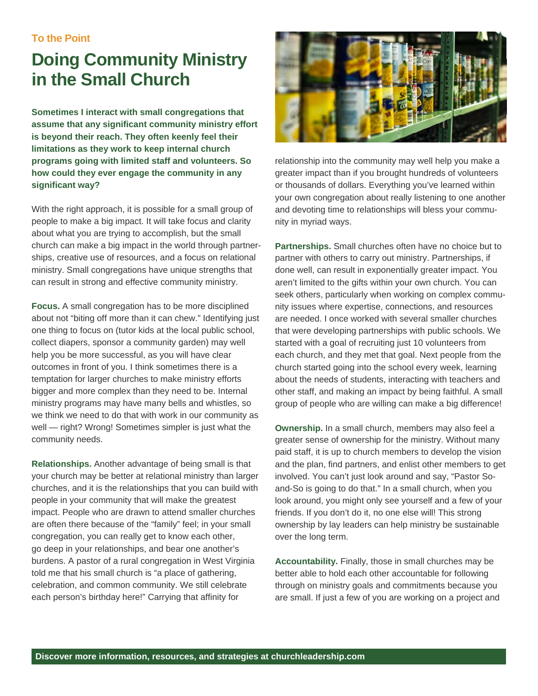**To the Point** 

## **Doing Community Ministry in the Small Church**

**Sometimes I interact with small congregations that assume that any significant community ministry effort is beyond their reach. They often keenly feel their limitations as they work to keep internal church programs going with limited staff and volunteers. So how could they ever engage the community in any significant way?** 

With the right approach, it is possible for a small group of people to make a big impact. It will take focus and clarity about what you are trying to accomplish, but the small church can make a big impact in the world through partnerships, creative use of resources, and a focus on relational ministry. Small congregations have unique strengths that can result in strong and effective community ministry.

**Focus.** A small congregation has to be more disciplined about not "biting off more than it can chew." Identifying just one thing to focus on (tutor kids at the local public school, collect diapers, sponsor a community garden) may well help you be more successful, as you will have clear outcomes in front of you. I think sometimes there is a temptation for larger churches to make ministry efforts bigger and more complex than they need to be. Internal ministry programs may have many bells and whistles, so we think we need to do that with work in our community as well — right? Wrong! Sometimes simpler is just what the community needs.

**Relationships.** Another advantage of being small is that your church may be better at relational ministry than larger churches, and it is the relationships that you can build with people in your community that will make the greatest impact. People who are drawn to attend smaller churches are often there because of the "family" feel; in your small congregation, you can really get to know each other, go deep in your relationships, and bear one another's burdens. A pastor of a rural congregation in West Virginia told me that his small church is "a place of gathering, celebration, and common community. We still celebrate each person's birthday here!" Carrying that affinity for



relationship into the community may well help you make a greater impact than if you brought hundreds of volunteers or thousands of dollars. Everything you've learned within your own congregation about really listening to one another and devoting time to relationships will bless your community in myriad ways.

**Partnerships.** Small churches often have no choice but to partner with others to carry out ministry. Partnerships, if done well, can result in exponentially greater impact. You aren't limited to the gifts within your own church. You can seek others, particularly when working on complex community issues where expertise, connections, and resources are needed. I once worked with several smaller churches that were developing partnerships with public schools. We started with a goal of recruiting just 10 volunteers from each church, and they met that goal. Next people from the church started going into the school every week, learning about the needs of students, interacting with teachers and other staff, and making an impact by being faithful. A small group of people who are willing can make a big difference!

**Ownership.** In a small church, members may also feel a greater sense of ownership for the ministry. Without many paid staff, it is up to church members to develop the vision and the plan, find partners, and enlist other members to get involved. You can't just look around and say, "Pastor Soand-So is going to do that." In a small church, when you look around, you might only see yourself and a few of your friends. If you don't do it, no one else will! This strong ownership by lay leaders can help ministry be sustainable over the long term.

**Accountability.** Finally, those in small churches may be better able to hold each other accountable for following through on ministry goals and commitments because you are small. If just a few of you are working on a project and